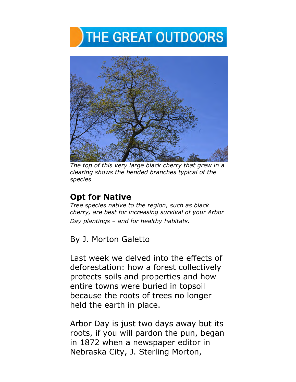# **THE GREAT OUTDOORS**



*The top of this very large black cherry that grew in a clearing shows the bended branches typical of the species* 

## **Opt for Native**

*Tree species native to the region, such as black cherry, are best for increasing survival of your Arbor Day plantings – and for healthy habitats.* 

By J. Morton Galetto

Last week we delved into the effects of deforestation: how a forest collectively protects soils and properties and how entire towns were buried in topsoil because the roots of trees no longer held the earth in place.

Arbor Day is just two days away but its roots, if you will pardon the pun, began in 1872 when a newspaper editor in Nebraska City, J. Sterling Morton,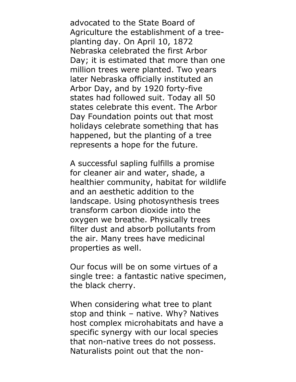advocated to the State Board of Agriculture the establishment of a treeplanting day. On April 10, 1872 Nebraska celebrated the first Arbor Day; it is estimated that more than one million trees were planted. Two years later Nebraska officially instituted an Arbor Day, and by 1920 forty-five states had followed suit. Today all 50 states celebrate this event. The Arbor Day Foundation points out that most holidays celebrate something that has happened, but the planting of a tree represents a hope for the future.

A successful sapling fulfills a promise for cleaner air and water, shade, a healthier community, habitat for wildlife and an aesthetic addition to the landscape. Using photosynthesis trees transform carbon dioxide into the oxygen we breathe. Physically trees filter dust and absorb pollutants from the air. Many trees have medicinal properties as well.

Our focus will be on some virtues of a single tree: a fantastic native specimen, the black cherry.

When considering what tree to plant stop and think – native. Why? Natives host complex microhabitats and have a specific synergy with our local species that non-native trees do not possess. Naturalists point out that the non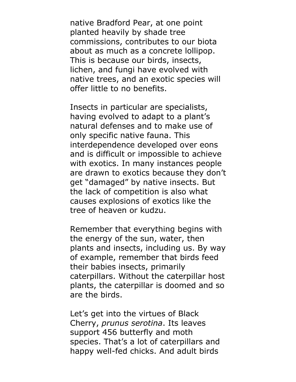native Bradford Pear, at one point planted heavily by shade tree commissions, contributes to our biota about as much as a concrete lollipop. This is because our birds, insects, lichen, and fungi have evolved with native trees, and an exotic species will offer little to no benefits.

Insects in particular are specialists, having evolved to adapt to a plant's natural defenses and to make use of only specific native fauna. This interdependence developed over eons and is difficult or impossible to achieve with exotics. In many instances people are drawn to exotics because they don't get "damaged" by native insects. But the lack of competition is also what causes explosions of exotics like the tree of heaven or kudzu.

Remember that everything begins with the energy of the sun, water, then plants and insects, including us. By way of example, remember that birds feed their babies insects, primarily caterpillars. Without the caterpillar host plants, the caterpillar is doomed and so are the birds.

Let's get into the virtues of Black Cherry, *prunus serotina*. Its leaves support 456 butterfly and moth species. That's a lot of caterpillars and happy well-fed chicks. And adult birds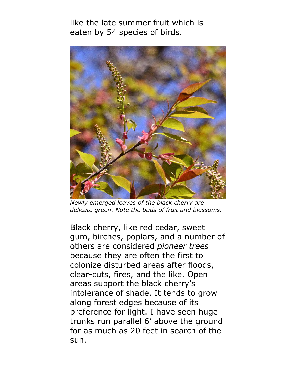like the late summer fruit which is eaten by 54 species of birds.



*Newly emerged leaves of the black cherry are delicate green. Note the buds of fruit and blossoms.* 

Black cherry, like red cedar, sweet gum, birches, poplars, and a number of others are considered *pioneer trees* because they are often the first to colonize disturbed areas after floods, clear-cuts, fires, and the like. Open areas support the black cherry's intolerance of shade. It tends to grow along forest edges because of its preference for light. I have seen huge trunks run parallel 6' above the ground for as much as 20 feet in search of the sun.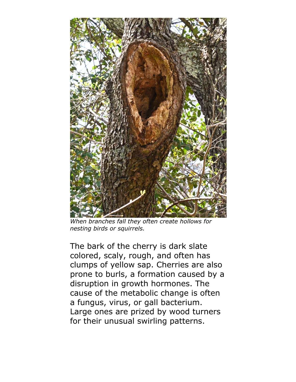

*When branches fall they often create hollows for nesting birds or squirrels.* 

The bark of the cherry is dark slate colored, scaly, rough, and often has clumps of yellow sap. Cherries are also prone to burls, a formation caused by a disruption in growth hormones. The cause of the metabolic change is often a fungus, virus, or gall bacterium. Large ones are prized by wood turners for their unusual swirling patterns.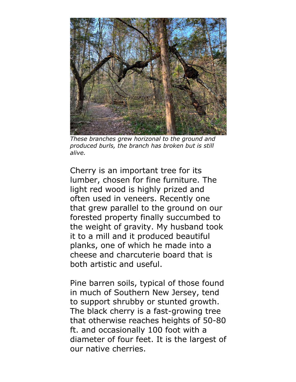

*These branches grew horizonal to the ground and produced burls, the branch has broken but is still alive.*

Cherry is an important tree for its lumber, chosen for fine furniture. The light red wood is highly prized and often used in veneers. Recently one that grew parallel to the ground on our forested property finally succumbed to the weight of gravity. My husband took it to a mill and it produced beautiful planks, one of which he made into a cheese and charcuterie board that is both artistic and useful.

Pine barren soils, typical of those found in much of Southern New Jersey, tend to support shrubby or stunted growth. The black cherry is a fast-growing tree that otherwise reaches heights of 50-80 ft. and occasionally 100 foot with a diameter of four feet. It is the largest of our native cherries.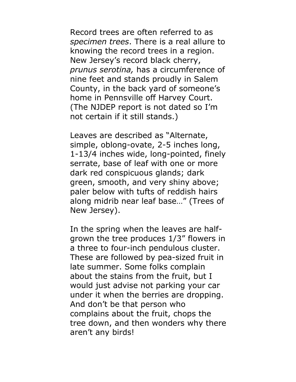Record trees are often referred to as *specimen trees*. There is a real allure to knowing the record trees in a region. New Jersey's record black cherry, *prunus serotina,* has a circumference of nine feet and stands proudly in Salem County, in the back yard of someone's home in Pennsville off Harvey Court. (The NJDEP report is not dated so I'm not certain if it still stands.)

Leaves are described as "Alternate, simple, oblong-ovate, 2-5 inches long, 1-13/4 inches wide, long-pointed, finely serrate, base of leaf with one or more dark red conspicuous glands; dark green, smooth, and very shiny above; paler below with tufts of reddish hairs along midrib near leaf base…" (Trees of New Jersey).

In the spring when the leaves are halfgrown the tree produces 1/3" flowers in a three to four-inch pendulous cluster. These are followed by pea-sized fruit in late summer. Some folks complain about the stains from the fruit, but I would just advise not parking your car under it when the berries are dropping. And don't be that person who complains about the fruit, chops the tree down, and then wonders why there aren't any birds!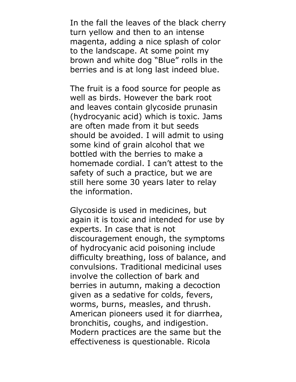In the fall the leaves of the black cherry turn yellow and then to an intense magenta, adding a nice splash of color to the landscape. At some point my brown and white dog "Blue" rolls in the berries and is at long last indeed blue.

The fruit is a food source for people as well as birds. However the bark root and leaves contain glycoside prunasin (hydrocyanic acid) which is toxic. Jams are often made from it but seeds should be avoided. I will admit to using some kind of grain alcohol that we bottled with the berries to make a homemade cordial. I can't attest to the safety of such a practice, but we are still here some 30 years later to relay the information.

Glycoside is used in medicines, but again it is toxic and intended for use by experts. In case that is not discouragement enough, the symptoms of hydrocyanic acid poisoning include difficulty breathing, loss of balance, and convulsions. Traditional medicinal uses involve the collection of bark and berries in autumn, making a decoction given as a sedative for colds, fevers, worms, burns, measles, and thrush. American pioneers used it for diarrhea, bronchitis, coughs, and indigestion. Modern practices are the same but the effectiveness is questionable. Ricola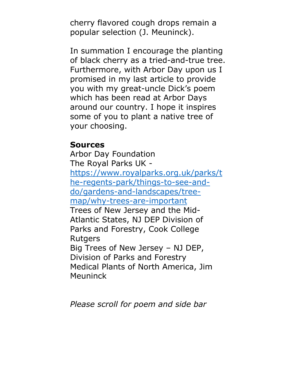cherry flavored cough drops remain a popular selection (J. Meuninck).

In summation I encourage the planting of black cherry as a tried-and-true tree. Furthermore, with Arbor Day upon us I promised in my last article to provide you with my great-uncle Dick's poem which has been read at Arbor Days around our country. I hope it inspires some of you to plant a native tree of your choosing.

### **Sources**

Arbor Day Foundation The Royal Parks UK https://www.royalparks.org.uk/parks/t he-regents-park/things-to-see-anddo/gardens-and-landscapes/treemap/why-trees-are-important Trees of New Jersey and the Mid-Atlantic States, NJ DEP Division of Parks and Forestry, Cook College **Rutgers** Big Trees of New Jersey – NJ DEP, Division of Parks and Forestry Medical Plants of North America, Jim Meuninck

*Please scroll for poem and side bar*